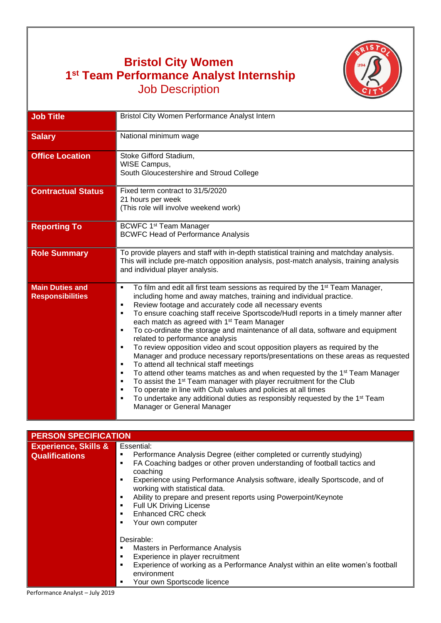## **Bristol City Women 1 st Team Performance Analyst Internship** Job Description



| <b>Job Title</b>                                  | Bristol City Women Performance Analyst Intern                                                                                                                                                                                                                                                                                                                                                                                                                                                                                                                                                                                                                                                                                                                                                                                                                                                                                                                                                                                                                                                                                                    |
|---------------------------------------------------|--------------------------------------------------------------------------------------------------------------------------------------------------------------------------------------------------------------------------------------------------------------------------------------------------------------------------------------------------------------------------------------------------------------------------------------------------------------------------------------------------------------------------------------------------------------------------------------------------------------------------------------------------------------------------------------------------------------------------------------------------------------------------------------------------------------------------------------------------------------------------------------------------------------------------------------------------------------------------------------------------------------------------------------------------------------------------------------------------------------------------------------------------|
| <b>Salary</b>                                     | National minimum wage                                                                                                                                                                                                                                                                                                                                                                                                                                                                                                                                                                                                                                                                                                                                                                                                                                                                                                                                                                                                                                                                                                                            |
|                                                   |                                                                                                                                                                                                                                                                                                                                                                                                                                                                                                                                                                                                                                                                                                                                                                                                                                                                                                                                                                                                                                                                                                                                                  |
| <b>Office Location</b>                            | Stoke Gifford Stadium,<br>WISE Campus,<br>South Gloucestershire and Stroud College                                                                                                                                                                                                                                                                                                                                                                                                                                                                                                                                                                                                                                                                                                                                                                                                                                                                                                                                                                                                                                                               |
| <b>Contractual Status</b>                         | Fixed term contract to 31/5/2020<br>21 hours per week<br>(This role will involve weekend work)                                                                                                                                                                                                                                                                                                                                                                                                                                                                                                                                                                                                                                                                                                                                                                                                                                                                                                                                                                                                                                                   |
| <b>Reporting To</b>                               | <b>BCWFC 1st Team Manager</b><br><b>BCWFC Head of Performance Analysis</b>                                                                                                                                                                                                                                                                                                                                                                                                                                                                                                                                                                                                                                                                                                                                                                                                                                                                                                                                                                                                                                                                       |
| <b>Role Summary</b>                               | To provide players and staff with in-depth statistical training and matchday analysis.<br>This will include pre-match opposition analysis, post-match analysis, training analysis<br>and individual player analysis.                                                                                                                                                                                                                                                                                                                                                                                                                                                                                                                                                                                                                                                                                                                                                                                                                                                                                                                             |
| <b>Main Duties and</b><br><b>Responsibilities</b> | To film and edit all first team sessions as required by the 1 <sup>st</sup> Team Manager,<br>٠<br>including home and away matches, training and individual practice.<br>Review footage and accurately code all necessary events<br>٠<br>To ensure coaching staff receive Sportscode/Hudl reports in a timely manner after<br>٠<br>each match as agreed with 1 <sup>st</sup> Team Manager<br>To co-ordinate the storage and maintenance of all data, software and equipment<br>$\blacksquare$<br>related to performance analysis<br>To review opposition video and scout opposition players as required by the<br>٠<br>Manager and produce necessary reports/presentations on these areas as requested<br>To attend all technical staff meetings<br>٠<br>To attend other teams matches as and when requested by the 1 <sup>st</sup> Team Manager<br>٠<br>To assist the 1 <sup>st</sup> Team manager with player recruitment for the Club<br>٠<br>To operate in line with Club values and policies at all times<br>٠<br>To undertake any additional duties as responsibly requested by the 1 <sup>st</sup> Team<br>٠<br>Manager or General Manager |

| <b>PERSON SPECIFICATION</b>     |                                                                                                                   |  |
|---------------------------------|-------------------------------------------------------------------------------------------------------------------|--|
| <b>Experience, Skills &amp;</b> | Essential:                                                                                                        |  |
| <b>Qualifications</b>           | Performance Analysis Degree (either completed or currently studying)                                              |  |
|                                 | FA Coaching badges or other proven understanding of football tactics and<br>٠                                     |  |
|                                 | coaching                                                                                                          |  |
|                                 | Experience using Performance Analysis software, ideally Sportscode, and of<br>٠<br>working with statistical data. |  |
|                                 | Ability to prepare and present reports using Powerpoint/Keynote<br>٠                                              |  |
|                                 | <b>Full UK Driving License</b><br>٠                                                                               |  |
|                                 | <b>Enhanced CRC check</b>                                                                                         |  |
|                                 | Your own computer<br>٠                                                                                            |  |
|                                 |                                                                                                                   |  |
|                                 | Desirable:                                                                                                        |  |
|                                 | Masters in Performance Analysis<br>٠                                                                              |  |
|                                 | Experience in player recruitment<br>٠                                                                             |  |
|                                 | Experience of working as a Performance Analyst within an elite women's football<br>٠                              |  |
|                                 | environment                                                                                                       |  |
|                                 | Your own Sportscode licence<br>٠                                                                                  |  |